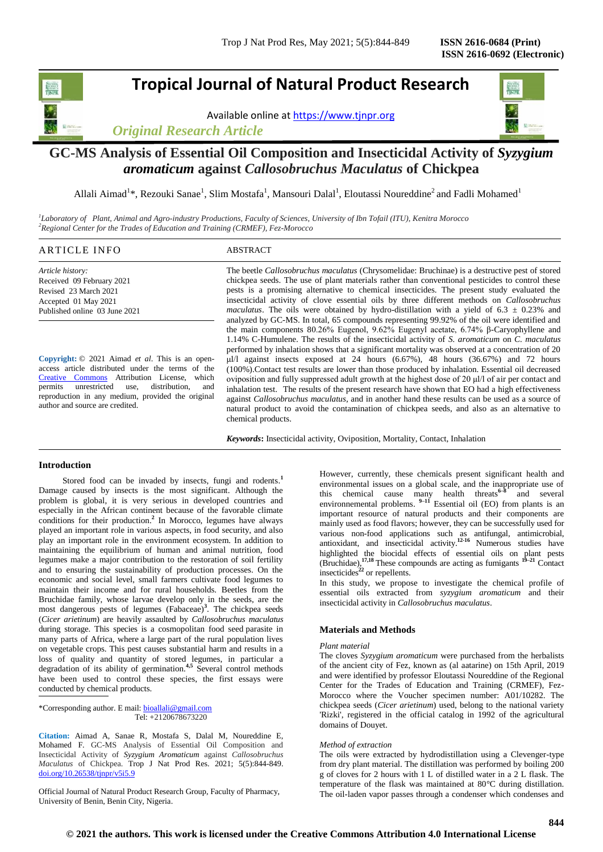## **Tropical Journal of Natural Product Research**

Available online a[t https://www.tjnpr.org](https://www.tjnpr.org/)

*Original Research Article*



## **GC-MS Analysis of Essential Oil Composition and Insecticidal Activity of** *Syzygium aromaticum* **against** *Callosobruchus Maculatus* **of Chickpea**

Allali Aimad<sup>1\*</sup>, Rezouki Sanae<sup>1</sup>, Slim Mostafa<sup>1</sup>, Mansouri Dalal<sup>1</sup>, Eloutassi Noureddine<sup>2</sup> and Fadli Mohamed<sup>1</sup>

*1 Laboratory of Plant, Animal and Agro-industry Productions, Faculty of Sciences, University of Ibn Tofail (ITU), Kenitra Morocco <sup>2</sup>Regional Center for the Trades of Education and Training (CRMEF), Fez-Morocco*

## ARTICLE INFO ABSTRACT

*Article history:* Received 09 February 2021 Revised 23 March 2021 Accepted 01 May 2021 Published online 03 June 2021

**Copyright:** © 2021 Aimad *et al*. This is an openaccess article distributed under the terms of the [Creative Commons](https://creativecommons.org/licenses/by/4.0/) Attribution License, which permits unrestricted use, distribution, and reproduction in any medium, provided the original author and source are credited.

The beetle *Callosobruchus maculatus* (Chrysomelidae: Bruchinae) is a destructive pest of stored chickpea seeds. The use of plant materials rather than conventional pesticides to control these pests is a promising alternative to chemical insecticides. The present study evaluated the insecticidal activity of clove essential oils by three different methods on *Callosobruchus maculatus*. The oils were obtained by hydro-distillation with a yield of 6.3  $\pm$  0.23% and analyzed by GC-MS. In total, 65 compounds representing 99.92% of the oil were identified and the main components 80.26% Eugenol, 9.62% Eugenyl acetate, 6.74% β-Caryophyllene and 1.14% C-Humulene. The results of the insecticidal activity of *S. aromaticum* on *C. maculatus*  performed by inhalation shows that a significant mortality was observed at a concentration of 20 μl/l against insects exposed at 24 hours (6.67%), 48 hours (36.67%) and 72 hours (100%).Contact test results are lower than those produced by inhalation. Essential oil decreased oviposition and fully suppressed adult growth at the highest dose of 20 μl/l of air per contact and inhalation test. The results of the present research have shown that EO had a high effectiveness against *Callosobruchus maculatus*, and in another hand these results can be used as a source of natural product to avoid the contamination of chickpea seeds, and also as an alternative to chemical products.

*Keywords***:** Insecticidal activity, Oviposition, Mortality, Contact, Inhalation

## **Introduction**

Stored food can be invaded by insects, fungi and rodents.<sup>1</sup> Damage caused by insects is the most significant. Although the problem is global, it is very serious in developed countries and especially in the African continent because of the favorable climate conditions for their production. **2** In Morocco, legumes have always played an important role in various aspects, in food security, and also play an important role in the environment ecosystem. In addition to maintaining the equilibrium of human and animal nutrition, food legumes make a major contribution to the restoration of soil fertility and to ensuring the sustainability of production processes. On the economic and social level, small farmers cultivate food legumes to maintain their income and for rural households. Beetles from the Bruchidae family, whose larvae develop only in the seeds, are the most dangerous pests of legumes (Fabaceae)**<sup>3</sup>** . The chickpea seeds (*Cicer arietinum*) are heavily assaulted by *Callosobruchus maculatus* during storage. This species is a cosmopolitan food seed parasite in many parts of Africa, where a large part of the rural population lives on vegetable crops. This pest causes substantial harm and results in a loss of quality and quantity of stored legumes, in particular a degradation of its ability of germination.**4,5** Several control methods have been used to control these species, the first essays were conducted by chemical products.

\*Corresponding author. E mail[: bioallali@gmail.com](mailto:bioallali@gmail.com) Tel: +2120678673220

**Citation:** Aimad A, Sanae R, Mostafa S, Dalal M, Noureddine E, Mohamed F. GC-MS Analysis of Essential Oil Composition and Insecticidal Activity of *Syzygium Aromaticum* against *Callosobruchus Maculatus* of Chickpea. Trop J Nat Prod Res. 2021; 5(5):844-849. [doi.org/10.26538/tjnpr/v5i5.9](http://www.doi.org/10.26538/tjnpr/v1i4.5)

Official Journal of Natural Product Research Group, Faculty of Pharmacy, University of Benin, Benin City, Nigeria.

However, currently, these chemicals present significant health and environmental issues on a global scale, and the inappropriate use of this chemical cause many health threats<sup>6–8</sup> and several environnemental problems. <sup>9–11</sup> Essential oil (EO) from plants is an important resource of natural products and their components are mainly used as food flavors; however, they can be successfully used for various non-food applications such as antifungal, antimicrobial, antioxidant, and insecticidal activity.**12-16** Numerous studies have highlighted the biocidal effects of essential oils on plant pests (Bruchidae),**17,18** These compounds are acting as fumigants **19–21** Contact insecticides**<sup>22</sup>** or repellents.

In this study, we propose to investigate the chemical profile of essential oils extracted from *syzygium aromaticum* and their insecticidal activity in *Callosobruchus maculatus*.

## **Materials and Methods**

## *Plant material*

The cloves *Syzygium aromaticum* were purchased from the herbalists of the ancient city of Fez, known as (al aatarine) on 15th April, 2019 and were identified by professor Eloutassi Noureddine of the Regional Center for the Trades of Education and Training (CRMEF), Fez-Morocco where the Voucher specimen number: A01/10282. The chickpea seeds (*Cicer arietinum*) used, belong to the national variety 'Rizki', registered in the official catalog in 1992 of the agricultural domains of Douyet.

## *Method of extraction*

The oils were extracted by hydrodistillation using a Clevenger-type from dry plant material. The distillation was performed by boiling 200 g of cloves for 2 hours with 1 L of distilled water in a 2 L flask. The temperature of the flask was maintained at 80°C during distillation. The oil-laden vapor passes through a condenser which condenses and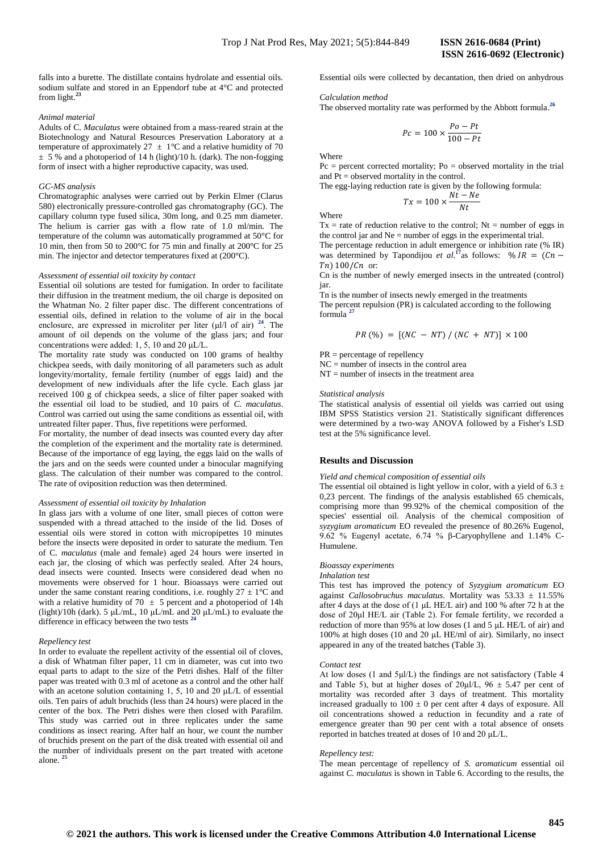falls into a burette. The distillate contains hydrolate and essential oils. Essential oils were collected by decantation, then dried on anhydrous sodium sulfate and stored in an Eppendorf tube at 4°C and protected from light. **23**

### *Animal material*

Adults of C. *Maculatus* were obtained from a mass-reared strain at the Biotechnology and Natural Resources Preservation Laboratory at a temperature of approximately  $27 \pm 1$ °C and a relative humidity of 70  $\pm$  5% and a photoperiod of 14 h (light)/10 h. (dark). The non-fogging form of insect with a higher reproductive capacity, was used.

## *GC-MS analysis*

Chromatographic analyses were carried out by Perkin Elmer (Clarus 580) electronically pressure-controlled gas chromatography (GC). The capillary column type fused silica, 30m long, and 0.25 mm diameter. The helium is carrier gas with a flow rate of 1.0 ml/min. The temperature of the column was automatically programmed at 50°C for 10 min, then from 50 to 200°C for 75 min and finally at 200°C for 25 min. The injector and detector temperatures fixed at (200°C).

## *Assessment of essential oil toxicity by contact*

Essential oil solutions are tested for fumigation. In order to facilitate their diffusion in the treatment medium, the oil charge is deposited on the Whatman No. 2 filter paper disc. The different concentrations of essential oils, defined in relation to the volume of air in the bocal enclosure, are expressed in microliter per liter (μl/l of air) **<sup>24</sup>**. The amount of oil depends on the volume of the glass jars; and four concentrations were added: 1, 5, 10 and 20 μL/L.

The mortality rate study was conducted on 100 grams of healthy chickpea seeds, with daily monitoring of all parameters such as adult longevity/mortality, female fertility (number of eggs laid) and the development of new individuals after the life cycle. Each glass jar received 100 g of chickpea seeds, a slice of filter paper soaked with the essential oil load to be studied, and 10 pairs of *C. maculatus*. Control was carried out using the same conditions as essential oil, with untreated filter paper. Thus, five repetitions were performed.

For mortality, the number of dead insects was counted every day after the completion of the experiment and the mortality rate is determined. Because of the importance of egg laying, the eggs laid on the walls of the jars and on the seeds were counted under a binocular magnifying glass. The calculation of their number was compared to the control. The rate of oviposition reduction was then determined.

## *Assessment of essential oil toxicity by Inhalation*

In glass jars with a volume of one liter, small pieces of cotton were suspended with a thread attached to the inside of the lid. Doses of essential oils were stored in cotton with micropipettes 10 minutes before the insects were deposited in order to saturate the medium. Ten of C. *maculatus* (male and female) aged 24 hours were inserted in each jar, the closing of which was perfectly sealed. After 24 hours, dead insects were counted. Insects were considered dead when no movements were observed for 1 hour. Bioassays were carried out under the same constant rearing conditions, i.e. roughly  $27 \pm 1$ °C and with a relative humidity of 70  $\pm$  5 percent and a photoperiod of 14h (light)/10h (dark). 5 μL/mL, 10 μL/mL and 20 μL/mL) to evaluate the difference in efficacy between the two tests **<sup>24</sup>**

#### *Repellency test*

In order to evaluate the repellent activity of the essential oil of cloves, a disk of Whatman filter paper, 11 cm in diameter, was cut into two equal parts to adapt to the size of the Petri dishes. Half of the filter paper was treated with 0.3 ml of acetone as a control and the other half with an acetone solution containing 1, 5, 10 and 20 μL/L of essential oils. Ten pairs of adult bruchids (less than 24 hours) were placed in the center of the box. The Petri dishes were then closed with Parafilm. This study was carried out in three replicates under the same conditions as insect rearing. After half an hour, we count the number of bruchids present on the part of the disk treated with essential oil and the number of individuals present on the part treated with acetone alone. **25**

### *Calculation method*

The observed mortality rate was performed by the Abbott formula. **26**

$$
Pc = 100 \times \frac{Po - Pt}{100 - Pt}
$$

**Where** 

 $Pc =$  percent corrected mortality;  $Po =$  observed mortality in the trial and Pt = observed mortality in the control.

The egg-laying reduction rate is given by the following formula:

$$
Tx = 100 \times \frac{Nt - Ne}{Nt}
$$

Where

 $Tx = rate of reduction relative to the control;  $Nt = number of eggs in$$ the control jar and Ne = number of eggs in the experimental trial.

The percentage reduction in adult emergence or inhibition rate (% IR) was determined by Tapondijou *et al.*<sup>17</sup> as follows:  $T_n$  100/ $C_n$  or:

Cn is the number of newly emerged insects in the untreated (control) jar.

Tn is the number of insects newly emerged in the treatments The percent repulsion (PR) is calculated according to the following formula **<sup>27</sup>**

$$
PR\ (\%) = [(NC - NT) / (NC + NT)] \times 100
$$

PR = percentage of repellency

 $NC =$  number of insects in the control area

 $NT =$  number of insects in the treatment area

*Statistical analysis* 

The statistical analysis of essential oil yields was carried out using IBM SPSS Statistics version 21. Statistically significant differences were determined by a two-way ANOVA followed by a Fisher's LSD test at the 5% significance level.

## **Results and Discussion**

## *Yield and chemical composition of essential oils*

The essential oil obtained is light yellow in color, with a yield of 6.3  $\pm$ 0,23 percent. The findings of the analysis established 65 chemicals, comprising more than 99.92% of the chemical composition of the species' essential oil. Analysis of the chemical composition of *syzygium aromaticum* EO revealed the presence of 80.26% Eugenol, 9.62 % Eugenyl acetate, 6.74 % β-Caryophyllene and 1.14% C-Humulene.

#### *Bioassay experiments*

#### *Inhalation test*

This test has improved the potency of *Syzygium aromaticum* EO against *Callosobruchus maculatus*. Mortality was 53.33 ± 11.55% after 4 days at the dose of (1 μL HE/L air) and 100 % after 72 h at the dose of 20μl HE/L air (Table 2). For female fertility, we recorded a reduction of more than 95% at low doses (1 and 5 μL HE/L of air) and 100% at high doses (10 and 20 μL HE/ml of air). Similarly, no insect appeared in any of the treated batches (Table 3).

#### *Contact test*

At low doses (1 and 5μl/L) the findings are not satisfactory (Table 4 and Table 5), but at higher doses of  $20\mu l/L$ ,  $96 \pm 5.47$  per cent of mortality was recorded after 3 days of treatment. This mortality increased gradually to  $100 \pm 0$  per cent after 4 days of exposure. All oil concentrations showed a reduction in fecundity and a rate of emergence greater than 90 per cent with a total absence of onsets reported in batches treated at doses of 10 and 20 μL/L.

#### *Repellency test:*

The mean percentage of repellency of *S. aromaticum* essential oil against *C. maculatus* is shown in Table 6. According to the results, the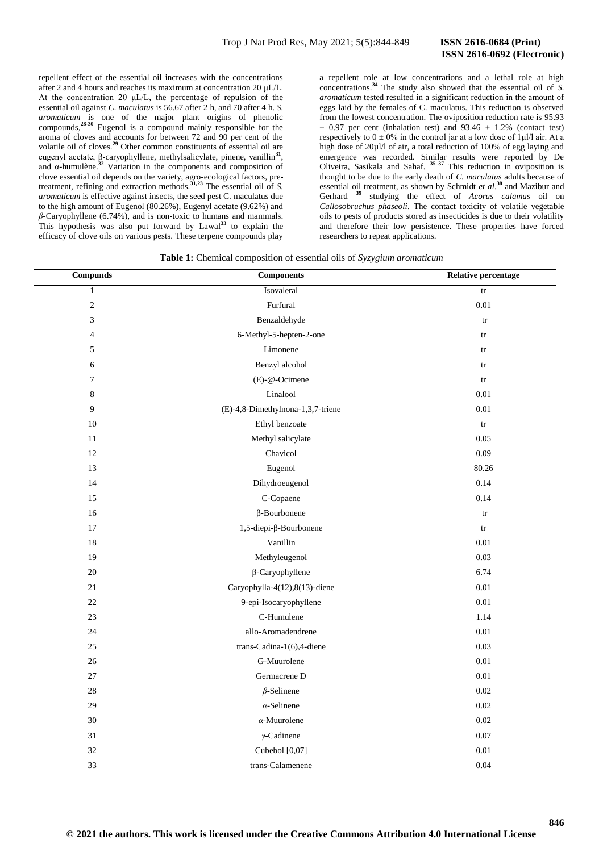**846**

repellent effect of the essential oil increases with the concentrations after 2 and 4 hours and reaches its maximum at concentration 20 μL/L. At the concentration 20 μL/L, the percentage of repulsion of the essential oil against *C. maculatus* is 56.67 after 2 h, and 70 after 4 h. *S. aromaticum* is one of the major plant origins of phenolic compounds,<sup>28-30</sup> Eugenol is a compound mainly responsible for the aroma of cloves and accounts for between 72 and 90 per cent of the volatile oil of cloves.**<sup>29</sup>** Other common constituents of essential oil are eugenyl acetate, β-caryophyllene, methylsalicylate, pinene, vanillin<sup>31</sup>, and α-humulène.**<sup>32</sup>** Variation in the components and composition of clove essential oil depends on the variety, agro-ecological factors, pretreatment, refining and extraction methods.**31,23** The essential oil of *S. aromaticum* is effective against insects, the seed pest C. maculatus due to the high amount of Eugenol (80.26%), Eugenyl acetate (9.62%) and *β*-Caryophyllene (6.74%), and is non-toxic to humans and mammals. This hypothesis was also put forward by Lawal**<sup>33</sup>** to explain the efficacy of clove oils on various pests. These terpene compounds play

a repellent role at low concentrations and a lethal role at high concentrations.**<sup>34</sup>** The study also showed that the essential oil of *S. aromaticum* tested resulted in a significant reduction in the amount of eggs laid by the females of C. maculatus. This reduction is observed from the lowest concentration. The oviposition reduction rate is 95.93  $\pm$  0.97 per cent (inhalation test) and 93.46  $\pm$  1.2% (contact test) respectively to  $0 \pm 0\%$  in the control jar at a low dose of 1µl/l air. At a high dose of 20µl/l of air, a total reduction of 100% of egg laying and emergence was recorded. Similar results were reported by De Oliveira, Sasikala and Sahaf. **35–37** This reduction in oviposition is thought to be due to the early death of *C. maculatus* adults because of essential oil treatment, as shown by Schmidt *et al*. **<sup>38</sup>** and Mazibur and Gerhard **<sup>39</sup>** studying the effect of *Acorus calamus* oil on *Callosobruchus phaseoli*. The contact toxicity of volatile vegetable oils to pests of products stored as insecticides is due to their volatility and therefore their low persistence. These properties have forced researchers to repeat applications.

|  |  | Table 1: Chemical composition of essential oils of Syzygium aromaticum |  |  |  |  |
|--|--|------------------------------------------------------------------------|--|--|--|--|
|--|--|------------------------------------------------------------------------|--|--|--|--|

| <b>Compunds</b> | <b>Components</b>                 | <b>Relative percentage</b> |
|-----------------|-----------------------------------|----------------------------|
| $\mathbf{1}$    | Isovaleral                        | $\mathop{\mathrm{tr}}$     |
| $\overline{c}$  | Furfural                          | $0.01\,$                   |
| 3               | Benzaldehyde                      | tr                         |
| $\overline{4}$  | 6-Methyl-5-hepten-2-one           | $\mathop{\mathrm{tr}}$     |
| 5               | Limonene                          | $\mathop{\mathrm{tr}}$     |
| 6               | Benzyl alcohol                    | ${\rm tr}$                 |
| 7               | (E)-@-Ocimene                     | ${\rm tr}$                 |
| $\,$ 8 $\,$     | Linalool                          | 0.01                       |
| 9               | (E)-4,8-Dimethylnona-1,3,7-triene | 0.01                       |
| 10              | Ethyl benzoate                    | $\mathop{\mathrm{tr}}$     |
| $11\,$          | Methyl salicylate                 | 0.05                       |
| 12              | Chavicol                          | 0.09                       |
| 13              | Eugenol                           | 80.26                      |
| 14              | Dihydroeugenol                    | 0.14                       |
| 15              | C-Copaene                         | 0.14                       |
| 16              | $\beta$ -Bourbonene               | tr                         |
| 17              | 1,5-diepi-β-Bourbonene            | $\mathop{\mathrm{tr}}$     |
| 18              | Vanillin                          | $0.01\,$                   |
| 19              | Methyleugenol                     | 0.03                       |
| 20              | $\beta$ -Caryophyllene            | 6.74                       |
| 21              | Caryophylla-4(12),8(13)-diene     | $0.01\,$                   |
| 22              | 9-epi-Isocaryophyllene            | $0.01\,$                   |
| 23              | C-Humulene                        | 1.14                       |
| 24              | allo-Aromadendrene                | 0.01                       |
| 25              | trans-Cadina-1(6),4-diene         | 0.03                       |
| 26              | G-Muurolene                       | 0.01                       |
| 27              | Germacrene D                      | 0.01                       |
| 28              | $\beta$ -Selinene                 | 0.02                       |
| 29              | $\alpha$ -Selinene                | 0.02                       |
| 30              | $\alpha$ -Muurolene               | 0.02                       |
| 31              | $\gamma$ -Cadinene                | 0.07                       |
| 32              | Cubebol [0,07]                    | 0.01                       |
| 33              | trans-Calamenene                  | 0.04                       |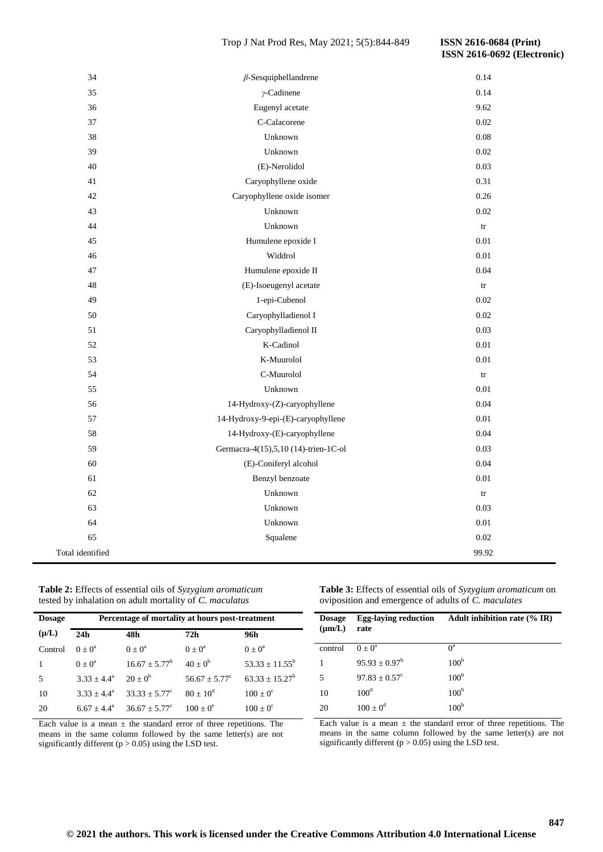## Trop J Nat Prod Res, May 2021; 5(5):844-849 **ISSN 2616-0684 (Print)**

# **ISSN 2616-0692 (Electronic)**

| 34               | $\beta$ -Sesquiphellandrene          | 0.14                   |
|------------------|--------------------------------------|------------------------|
| 35               | $\gamma$ -Cadinene                   | 0.14                   |
| 36               | Eugenyl acetate                      | 9.62                   |
| 37               | C-Calacorene                         | 0.02                   |
| 38               | Unknown                              | 0.08                   |
| 39               | Unknown                              | 0.02                   |
| 40               | (E)-Nerolidol                        | 0.03                   |
| 41               | Caryophyllene oxide                  | 0.31                   |
| 42               | Caryophyllene oxide isomer           | 0.26                   |
| 43               | Unknown                              | 0.02                   |
| 44               | Unknown                              | $\mathop{\mathrm{tr}}$ |
| 45               | Humulene epoxide I                   | $0.01\,$               |
| 46               | Widdrol                              | 0.01                   |
| 47               | Humulene epoxide II                  | 0.04                   |
| 48               | (E)-Isoeugenyl acetate               | $\mathop{\mathrm{tr}}$ |
| 49               | 1-epi-Cubenol                        | 0.02                   |
| 50               | Caryophylladienol I                  | 0.02                   |
| 51               | Caryophylladienol II                 | 0.03                   |
| 52               | K-Cadinol                            | 0.01                   |
| 53               | K-Muurolol                           | $0.01\,$               |
| 54               | C-Muurolol                           | $\mathop{\mathrm{tr}}$ |
| 55               | Unknown                              | 0.01                   |
| 56               | 14-Hydroxy-(Z)-caryophyllene         | 0.04                   |
| 57               | 14-Hydroxy-9-epi-(E)-caryophyllene   | $0.01\,$               |
| 58               | 14-Hydroxy-(E)-caryophyllene         | 0.04                   |
| 59               | Germacra-4(15),5,10 (14)-trien-1C-ol | 0.03                   |
| 60               | (E)-Coniferyl alcohol                | 0.04                   |
| 61               | Benzyl benzoate                      | 0.01                   |
| 62               | Unknown                              | tr                     |
| 63               | Unknown                              | 0.03                   |
| 64               | Unknown                              | $0.01\,$               |
| 65               | Squalene                             | 0.02                   |
| Total identified |                                      | 99.92                  |

| Table 2: Effects of essential oils of Syzygium aromaticum |
|-----------------------------------------------------------|
| tested by inhalation on adult mortality of C. maculatus   |

| <b>Dosage</b> | Percentage of mortality at hours post-treatment |                        |                        |                   |  |
|---------------|-------------------------------------------------|------------------------|------------------------|-------------------|--|
| $(\mu/L)$     | 24h                                             | 48h                    | 72h                    | 96h               |  |
| Control       | $0 + 0^a$                                       | $0 + 0^a$              | $0 + 0^a$              | $0 + 0^a$         |  |
|               | $0 + 0^a$                                       | $16.67 + 5.77^b$       | $40 + 0^b$             | $53.33 + 11.55^b$ |  |
| 5             | $3.33 \pm 4.4^a$                                | $20 + 0^b$             | $56.67 + 5.77^{\circ}$ | $63.33 + 15.27^b$ |  |
| 10            | $3.33 + 4.4^a$                                  | $33.33 + 5.77^{\circ}$ | $80 + 10^d$            | $100 + 0^{\circ}$ |  |
| 20            | $6.67 + 4.4^a$                                  | $36.67 + 5.77^{\circ}$ | $100 + 0^e$            | $100 + 0^{\circ}$ |  |

Each value is a mean  $\pm$  the standard error of three repetitions. The means in the same column followed by the same letter(s) are not significantly different ( $p > 0.05$ ) using the LSD test.

**Table 3:** Effects of essential oils of *Syzygium aromaticum* on oviposition and emergence of adults of *C. maculates*

| <b>Dosage</b><br>$(\mu m/L)$ | <b>Egg-laying reduction</b><br>rate | Adult inhibition rate $(\%$ IR) |
|------------------------------|-------------------------------------|---------------------------------|
| control                      | $0 + 0^a$                           | $0^a$                           |
| 1                            | $95.93 + 0.97^b$                    | 100 <sup>b</sup>                |
| 5                            | $97.83 + 0.57^{\circ}$              | 100 <sup>b</sup>                |
| 10                           | 100 <sup>d</sup>                    | 100 <sup>b</sup>                |
| 20                           | $100 \pm 0^d$                       | 100 <sup>b</sup>                |

Each value is a mean  $\pm$  the standard error of three repetitions. The means in the same column followed by the same letter(s) are not significantly different ( $p > 0.05$ ) using the LSD test.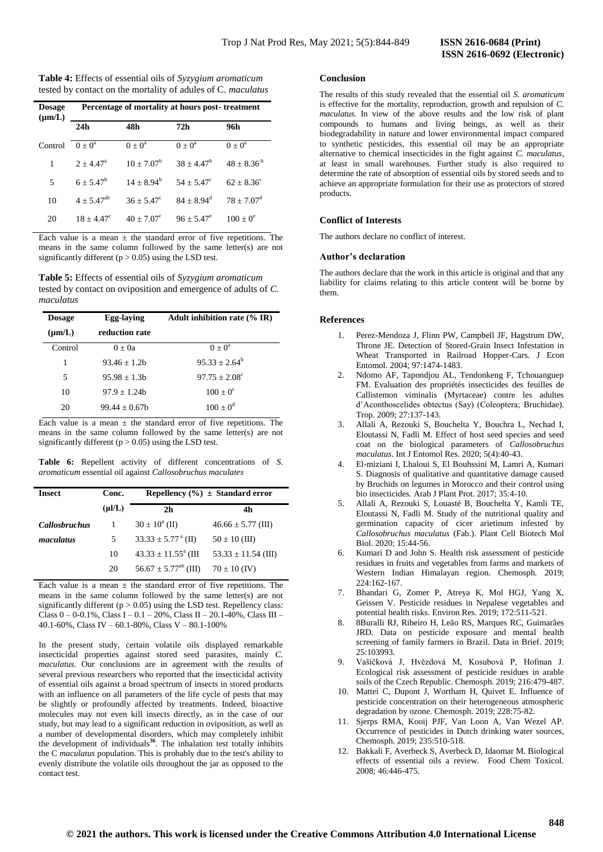| Table 4: Effects of essential oils of Syzygium aromaticum    |  |
|--------------------------------------------------------------|--|
| tested by contact on the mortality of adules of C. maculatus |  |

| <b>Dosage</b><br>$(\mu m/L)$ | Percentage of mortality at hours post-treatment |                     |                     |                     |
|------------------------------|-------------------------------------------------|---------------------|---------------------|---------------------|
|                              | 24h                                             | 48h                 | 72h                 | 96h                 |
| Control                      | $0 + 0^a$                                       | $0 \pm 0^a$         | $0 \pm 0^a$         | $0 \pm 0^a$         |
| 1                            | $2 + 4.47^{\circ}$                              | $10 + 7.07^b$       | $38 + 4.47^b$       | $48 + 8.36^{b}$     |
| 5                            | $6 + 5.47^b$                                    | $14 + 8.94^b$       | $54 + 5.47^{\circ}$ | $62 + 8.36^{\circ}$ |
| 10                           | $4 + 5.47^{ab}$                                 | $36 + 5.47^{\circ}$ | $84 + 8.94^d$       | $78 + 7.07^{\rm d}$ |
| 20                           | $18 + 4.47^{\circ}$                             | $40 + 7.07^{\circ}$ | $96 + 5.47^{\circ}$ | $100 + 0^e$         |

Each value is a mean  $\pm$  the standard error of five repetitions. The means in the same column followed by the same letter(s) are not significantly different ( $p > 0.05$ ) using the LSD test.

**Table 5:** Effects of essential oils of *Syzygium aromaticum* tested by contact on oviposition and emergence of adults of *C. maculatus*

| Egg-laying<br><b>Dosage</b> |                | <b>Adult inhibition rate (% IR)</b> |
|-----------------------------|----------------|-------------------------------------|
| $(\mu m/L)$                 | reduction rate |                                     |
| Control                     | $0 + 0a$       | $(0 + 0^a)$                         |
| 1                           | $93.46 + 1.2h$ | $95.33 + 2.64^b$                    |
| 5                           | $95.98 + 1.3b$ | $97.75 + 2.08^{\circ}$              |
| 10                          | $97.9 + 1.24h$ | $100 + 0^{\circ}$                   |
| 20                          | $99.44 + 0.67$ | $100 + 0^d$                         |

Each value is a mean  $\pm$  the standard error of five repetitions. The means in the same column followed by the same letter(s) are not significantly different ( $p > 0.05$ ) using the LSD test.

**Table 6:** Repellent activity of different concentrations of *S. aromaticum* essential oil against *Callosobruchus maculates*

| <b>Insect</b>        | Conc.       | Repellency $(\% ) \pm$ Standard error |                         |  |
|----------------------|-------------|---------------------------------------|-------------------------|--|
|                      | $(\mu I/L)$ | 2 <sub>h</sub>                        | 4h                      |  |
| <b>Callosbruchus</b> |             | $30 \pm 10^{\circ}$ (II)              | $46.66 \pm 5.77$ (III)  |  |
| maculatus            | 5.          | $33.33 \pm 5.77^{\text{a}}$ (II)      | $50 \pm 10$ (III)       |  |
|                      | 10          | $43.33 \pm 11.55^{\circ}$ (III        | $53.33 \pm 11.54$ (III) |  |
|                      | 20          | $56.67 \pm 5.77^{\rm ab}$ (III)       | $70 \pm 10$ (IV)        |  |

Each value is a mean  $\pm$  the standard error of five repetitions. The means in the same column followed by the same letter(s) are not significantly different ( $p > 0.05$ ) using the LSD test. Repellency class: Class  $0 - 0.1\%$ , Class I – 0.1 – 20%, Class II – 20.1-40%, Class III – 40.1-60%, Class IV – 60.1-80%, Class V – 80.1-100%

In the present study, certain volatile oils displayed remarkable insecticidal properties against stored seed parasites, mainly *C. maculatus.* Our conclusions are in agreement with the results of several previous researchers who reported that the insecticidal activity of essential oils against a broad spectrum of insects in stored products with an influence on all parameters of the life cycle of pests that may be slightly or profoundly affected by treatments. Indeed, bioactive molecules may not even kill insects directly, as in the case of our study, but may lead to a significant reduction in oviposition, as well as a number of developmental disorders, which may completely inhibit the development of individuals**<sup>36</sup>** . The inhalation test totally inhibits the C *maculatus* population. This is probably due to the test's ability to evenly distribute the volatile oils throughout the jar as opposed to the contact test.

## **Conclusion**

The results of this study revealed that the essential oil *S. aromaticum* is effective for the mortality, reproduction, growth and repulsion of *C. maculatus.* In view of the above results and the low risk of plant compounds to humans and living beings, as well as their biodegradability in nature and lower environmental impact compared to synthetic pesticides, this essential oil may be an appropriate alternative to chemical insecticides in the fight against *C. maculatus*, at least in small warehouses. Further study is also required to determine the rate of absorption of essential oils by stored seeds and to achieve an appropriate formulation for their use as protectors of stored products.

## **Conflict of Interests**

The authors declare no conflict of interest.

## **Author's declaration**

The authors declare that the work in this article is original and that any liability for claims relating to this article content will be borne by them.

## **References**

- 1. Perez-Mendoza J, Flinn PW, Campbell JF, Hagstrum DW, Throne JE. Detection of Stored-Grain Insect Infestation in Wheat Transported in Railroad Hopper-Cars. J Econ Entomol. 2004; 97:1474-1483.
- 2. Ndomo AF, Tapondjou AL, Tendonkeng F, Tchouanguep FM. Evaluation des propriétés insecticides des feuilles de Callistemon viminalis (Myrtaceae) contre les adultes d'Aconthoscelides obtectus (Say) (Coleoptera; Bruchidae). Trop. 2009; 27:137-143.
- 3. Allali A, Rezouki S, Bouchelta Y, Bouchra L, Nechad I, Eloutassi N, Fadli M. Effect of host seed species and seed coat on the biological parameters of *Callosobruchus maculatus*. Int J Entomol Res. 2020; 5(4):40-43.
- 4. El-miziani I, Lhaloui S, El Bouhssini M, Lamri A, Kumari S. Diagnosis of qualitative and quantitative damage caused by Bruchids on legumes in Morocco and their control using bio insecticides. Arab J Plant Prot. 2017; 35:4-10.
- 5. Allali A, Rezouki S, Louasté B, Bouchelta Y, Kamli TE, Eloutassi N, Fadli M. Study of the nutritional quality and germination capacity of cicer arietinum infested by *Callosobruchus maculatus* (Fab.). Plant Cell Biotech Mol Biol. 2020; 15:44-56.
- Kumari D and John S. Health risk assessment of pesticide residues in fruits and vegetables from farms and markets of Western Indian Himalayan region. Chemosph. 2019; 224:162-167.
- 7. Bhandari G, Zomer P, Atreya K, Mol HGJ, Yang X, Geissen V. Pesticide residues in Nepalese vegetables and potential health risks. Environ Res. 2019; 172:511-521.
- 8. 8Buralli RJ, Ribeiro H, Leão RS, Marques RC, Guimarães JRD. Data on pesticide exposure and mental health screening of family farmers in Brazil. Data in Brief. 2019; 25:103993.
- 9. Vašíčková J, Hvězdová M, Kosubová P, Hofman J. Ecological risk assessment of pesticide residues in arable soils of the Czech Republic. Chemosph. 2019; 216:479-487.
- 10. Mattei C, Dupont J, Wortham H, Quivet E. Influence of pesticide concentration on their heterogeneous atmospheric degradation by ozone. Chemosph. 2019; 228:75-82.
- 11. Sjerps RMA, Kooij PJF, Van Loon A, Van Wezel AP. Occurrence of pesticides in Dutch drinking water sources, Chemosph. 2019; 235:510-518.
- 12. Bakkali F, Averbeck S, Averbeck D, Idaomar M. Biological effects of essential oils a review. Food Chem Toxicol. 2008; 46:446-475.